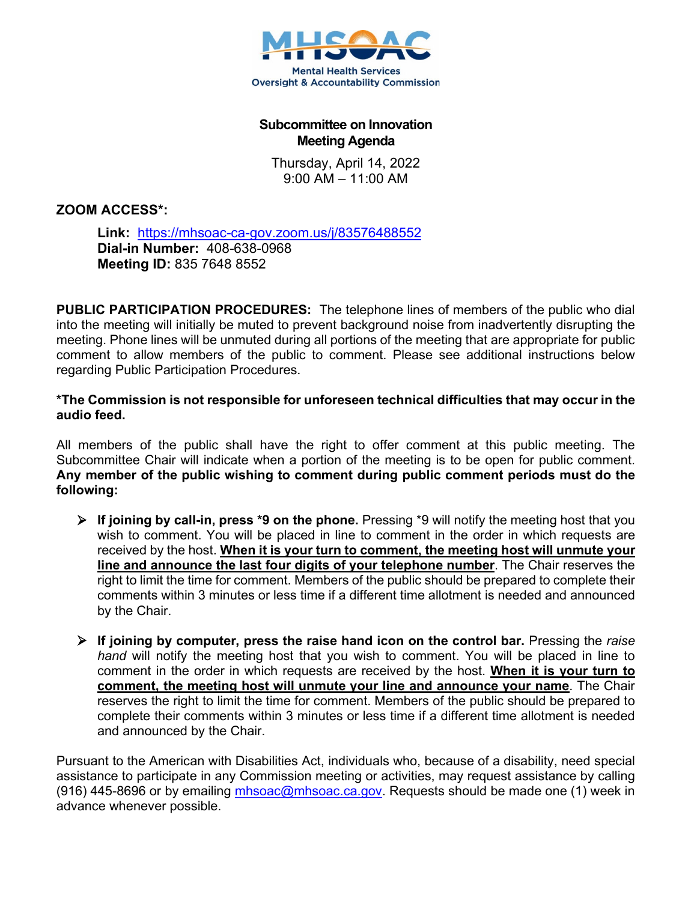

## **Subcommittee on Innovation Meeting Agenda**

Thursday, April 14, 2022 9:00 AM – 11:00 AM

**ZOOM ACCESS\*:** 

**Link:** <https://mhsoac-ca-gov.zoom.us/j/83576488552> **Dial-in Number:** 408-638-0968 **Meeting ID:** 835 7648 8552

**PUBLIC PARTICIPATION PROCEDURES:** The telephone lines of members of the public who dial into the meeting will initially be muted to prevent background noise from inadvertently disrupting the meeting. Phone lines will be unmuted during all portions of the meeting that are appropriate for public comment to allow members of the public to comment. Please see additional instructions below regarding Public Participation Procedures.

**\*The Commission is not responsible for unforeseen technical difficulties that may occur in the audio feed.** 

All members of the public shall have the right to offer comment at this public meeting. The Subcommittee Chair will indicate when a portion of the meeting is to be open for public comment. **Any member of the public wishing to comment during public comment periods must do the following:**

- **If joining by call-in, press \*9 on the phone.** Pressing \*9 will notify the meeting host that you wish to comment. You will be placed in line to comment in the order in which requests are received by the host. **When it is your turn to comment, the meeting host will unmute your line and announce the last four digits of your telephone number**. The Chair reserves the right to limit the time for comment. Members of the public should be prepared to complete their comments within 3 minutes or less time if a different time allotment is needed and announced by the Chair.
- **If joining by computer, press the raise hand icon on the control bar.** Pressing the *raise hand* will notify the meeting host that you wish to comment. You will be placed in line to comment in the order in which requests are received by the host. **When it is your turn to comment, the meeting host will unmute your line and announce your name**. The Chair reserves the right to limit the time for comment. Members of the public should be prepared to complete their comments within 3 minutes or less time if a different time allotment is needed and announced by the Chair.

Pursuant to the American with Disabilities Act, individuals who, because of a disability, need special assistance to participate in any Commission meeting or activities, may request assistance by calling (916) 445-8696 or by emailing [mhsoac@mhsoac.ca.gov.](mailto:mhsoac@mhsoac.ca.gov) Requests should be made one (1) week in advance whenever possible.